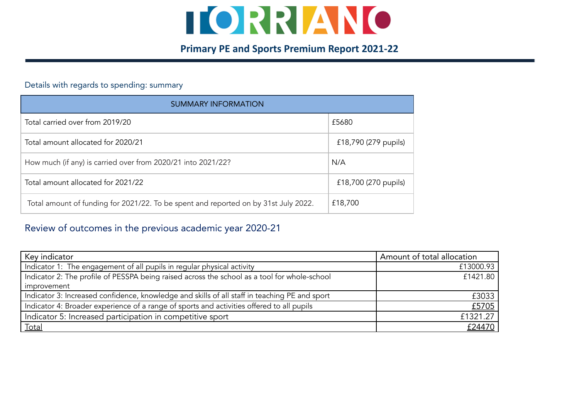

## **Primary PE and Sports Premium Report 2021-22**

## Details with regards to spending: summary

| <b>SUMMARY INFORMATION</b>                                                          |                      |  |  |  |  |
|-------------------------------------------------------------------------------------|----------------------|--|--|--|--|
| Total carried over from 2019/20                                                     | £5680                |  |  |  |  |
| Total amount allocated for 2020/21                                                  | £18,790 (279 pupils) |  |  |  |  |
| How much (if any) is carried over from 2020/21 into 2021/22?                        | N/A                  |  |  |  |  |
| Total amount allocated for 2021/22                                                  | £18,700 (270 pupils) |  |  |  |  |
| Total amount of funding for 2021/22. To be spent and reported on by 31st July 2022. | £18,700              |  |  |  |  |

## Review of outcomes in the previous academic year 2020-21

| Key indicator                                                                                 | Amount of total allocation |
|-----------------------------------------------------------------------------------------------|----------------------------|
| Indicator 1: The engagement of all pupils in regular physical activity                        | £13000.93                  |
| Indicator 2: The profile of PESSPA being raised across the school as a tool for whole-school  | £1421.80                   |
| improvement                                                                                   |                            |
| Indicator 3: Increased confidence, knowledge and skills of all staff in teaching PE and sport | £3033                      |
| Indicator 4: Broader experience of a range of sports and activities offered to all pupils     | £5705                      |
| Indicator 5: Increased participation in competitive sport                                     | £1321.27                   |
| <b>Total</b>                                                                                  | £24470                     |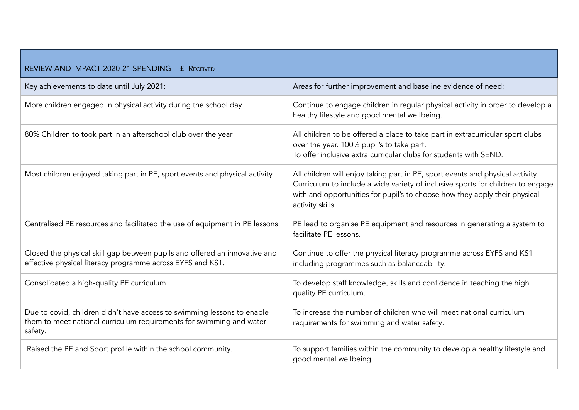| REVIEW AND IMPACT 2020-21 SPENDING - £ RECEIVED                                                                                                            |                                                                                                                                                                                                                                                                     |  |  |  |  |
|------------------------------------------------------------------------------------------------------------------------------------------------------------|---------------------------------------------------------------------------------------------------------------------------------------------------------------------------------------------------------------------------------------------------------------------|--|--|--|--|
| Key achievements to date until July 2021:                                                                                                                  | Areas for further improvement and baseline evidence of need:                                                                                                                                                                                                        |  |  |  |  |
| More children engaged in physical activity during the school day.                                                                                          | Continue to engage children in regular physical activity in order to develop a<br>healthy lifestyle and good mental wellbeing.                                                                                                                                      |  |  |  |  |
| 80% Children to took part in an afterschool club over the year                                                                                             | All children to be offered a place to take part in extracurricular sport clubs<br>over the year. 100% pupil's to take part.<br>To offer inclusive extra curricular clubs for students with SEND.                                                                    |  |  |  |  |
| Most children enjoyed taking part in PE, sport events and physical activity                                                                                | All children will enjoy taking part in PE, sport events and physical activity.<br>Curriculum to include a wide variety of inclusive sports for children to engage<br>with and opportunities for pupil's to choose how they apply their physical<br>activity skills. |  |  |  |  |
| Centralised PE resources and facilitated the use of equipment in PE lessons                                                                                | PE lead to organise PE equipment and resources in generating a system to<br>facilitate PE lessons.                                                                                                                                                                  |  |  |  |  |
| Closed the physical skill gap between pupils and offered an innovative and<br>effective physical literacy programme across EYFS and KS1.                   | Continue to offer the physical literacy programme across EYFS and KS1<br>including programmes such as balanceability.                                                                                                                                               |  |  |  |  |
| Consolidated a high-quality PE curriculum                                                                                                                  | To develop staff knowledge, skills and confidence in teaching the high<br>quality PE curriculum.                                                                                                                                                                    |  |  |  |  |
| Due to covid, children didn't have access to swimming lessons to enable<br>them to meet national curriculum requirements for swimming and water<br>safety. | To increase the number of children who will meet national curriculum<br>requirements for swimming and water safety.                                                                                                                                                 |  |  |  |  |
| Raised the PE and Sport profile within the school community.                                                                                               | To support families within the community to develop a healthy lifestyle and<br>good mental wellbeing.                                                                                                                                                               |  |  |  |  |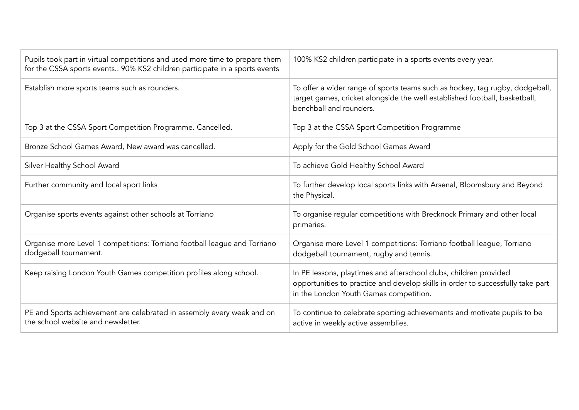| Pupils took part in virtual competitions and used more time to prepare them<br>for the CSSA sports events 90% KS2 children participate in a sports events | 100% KS2 children participate in a sports events every year.                                                                                                                                   |
|-----------------------------------------------------------------------------------------------------------------------------------------------------------|------------------------------------------------------------------------------------------------------------------------------------------------------------------------------------------------|
| Establish more sports teams such as rounders.                                                                                                             | To offer a wider range of sports teams such as hockey, tag rugby, dodgeball,<br>target games, cricket alongside the well established football, basketball,<br>benchball and rounders.          |
| Top 3 at the CSSA Sport Competition Programme. Cancelled.                                                                                                 | Top 3 at the CSSA Sport Competition Programme                                                                                                                                                  |
| Bronze School Games Award, New award was cancelled.                                                                                                       | Apply for the Gold School Games Award                                                                                                                                                          |
| Silver Healthy School Award                                                                                                                               | To achieve Gold Healthy School Award                                                                                                                                                           |
| Further community and local sport links                                                                                                                   | To further develop local sports links with Arsenal, Bloomsbury and Beyond<br>the Physical.                                                                                                     |
| Organise sports events against other schools at Torriano                                                                                                  | To organise regular competitions with Brecknock Primary and other local<br>primaries.                                                                                                          |
| Organise more Level 1 competitions: Torriano football league and Torriano<br>dodgeball tournament.                                                        | Organise more Level 1 competitions: Torriano football league, Torriano<br>dodgeball tournament, rugby and tennis.                                                                              |
| Keep raising London Youth Games competition profiles along school.                                                                                        | In PE lessons, playtimes and afterschool clubs, children provided<br>opportunities to practice and develop skills in order to successfully take part<br>in the London Youth Games competition. |
| PE and Sports achievement are celebrated in assembly every week and on<br>the school website and newsletter.                                              | To continue to celebrate sporting achievements and motivate pupils to be<br>active in weekly active assemblies.                                                                                |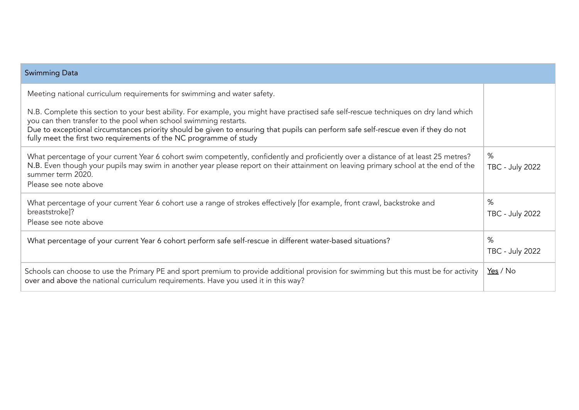| <b>Swimming Data</b>                                                                                                                                                                                                                                                                                                                                                                                                 |                             |
|----------------------------------------------------------------------------------------------------------------------------------------------------------------------------------------------------------------------------------------------------------------------------------------------------------------------------------------------------------------------------------------------------------------------|-----------------------------|
| Meeting national curriculum requirements for swimming and water safety.                                                                                                                                                                                                                                                                                                                                              |                             |
| N.B. Complete this section to your best ability. For example, you might have practised safe self-rescue techniques on dry land which<br>you can then transfer to the pool when school swimming restarts.<br>Due to exceptional circumstances priority should be given to ensuring that pupils can perform safe self-rescue even if they do not<br>fully meet the first two requirements of the NC programme of study |                             |
| What percentage of your current Year 6 cohort swim competently, confidently and proficiently over a distance of at least 25 metres?<br>N.B. Even though your pupils may swim in another year please report on their attainment on leaving primary school at the end of the<br>summer term 2020.<br>Please see note above                                                                                             | %<br><b>TBC - July 2022</b> |
| What percentage of your current Year 6 cohort use a range of strokes effectively [for example, front crawl, backstroke and<br>breaststroke]?<br>Please see note above                                                                                                                                                                                                                                                | %<br><b>TBC - July 2022</b> |
| What percentage of your current Year 6 cohort perform safe self-rescue in different water-based situations?                                                                                                                                                                                                                                                                                                          | %<br><b>TBC - July 2022</b> |
| Schools can choose to use the Primary PE and sport premium to provide additional provision for swimming but this must be for activity<br>over and above the national curriculum requirements. Have you used it in this way?                                                                                                                                                                                          | Yes / No                    |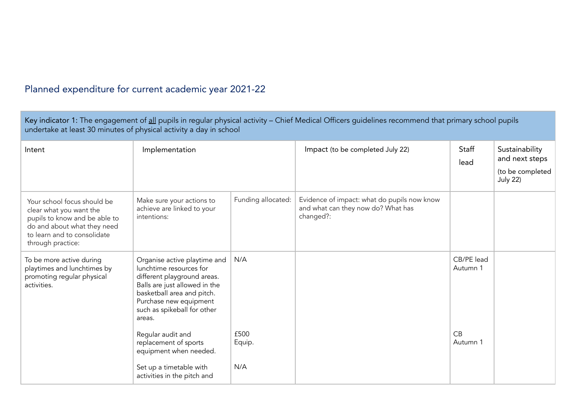## Planned expenditure for current academic year 2021-22

| Key indicator 1: The engagement of all pupils in regular physical activity - Chief Medical Officers guidelines recommend that primary school pupils<br>undertake at least 30 minutes of physical activity a day in school |                                                                                                                                                                                                                          |                       |                                                                                                |                              |                                                                         |  |
|---------------------------------------------------------------------------------------------------------------------------------------------------------------------------------------------------------------------------|--------------------------------------------------------------------------------------------------------------------------------------------------------------------------------------------------------------------------|-----------------------|------------------------------------------------------------------------------------------------|------------------------------|-------------------------------------------------------------------------|--|
| Intent                                                                                                                                                                                                                    | Implementation                                                                                                                                                                                                           |                       | Impact (to be completed July 22)                                                               | Staff<br>lead                | Sustainability<br>and next steps<br>(to be completed<br><b>July 22)</b> |  |
| Your school focus should be<br>clear what you want the<br>pupils to know and be able to<br>do and about what they need<br>to learn and to consolidate<br>through practice:                                                | Make sure your actions to<br>achieve are linked to your<br>intentions:                                                                                                                                                   | Funding allocated:    | Evidence of impact: what do pupils now know<br>and what can they now do? What has<br>changed?: |                              |                                                                         |  |
| To be more active during<br>playtimes and lunchtimes by<br>promoting regular physical<br>activities.                                                                                                                      | Organise active playtime and<br>lunchtime resources for<br>different playground areas.<br>Balls are just allowed in the<br>basketball area and pitch.<br>Purchase new equipment<br>such as spikeball for other<br>areas. | N/A                   |                                                                                                | CB/PE lead<br>Autumn 1       |                                                                         |  |
|                                                                                                                                                                                                                           | Regular audit and<br>replacement of sports<br>equipment when needed.                                                                                                                                                     | £500<br>Equip.<br>N/A |                                                                                                | $C$ <sub>B</sub><br>Autumn 1 |                                                                         |  |
|                                                                                                                                                                                                                           | Set up a timetable with<br>activities in the pitch and                                                                                                                                                                   |                       |                                                                                                |                              |                                                                         |  |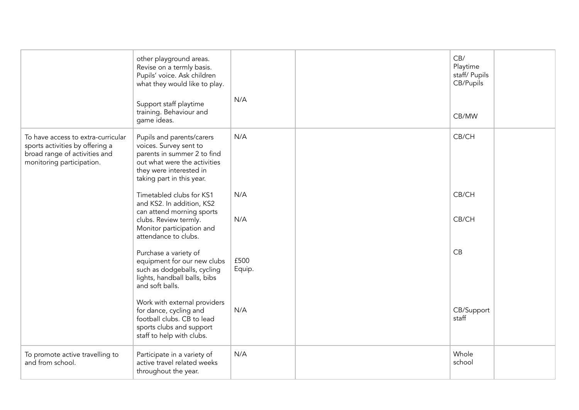|                                                                                                                                     | other playground areas.<br>Revise on a termly basis.<br>Pupils' voice. Ask children<br>what they would like to play.<br>Support staff playtime<br>training. Behaviour and<br>game ideas. | N/A            | CB/<br>Playtime<br>staff/ Pupils<br>CB/Pupils<br>CB/MW |  |
|-------------------------------------------------------------------------------------------------------------------------------------|------------------------------------------------------------------------------------------------------------------------------------------------------------------------------------------|----------------|--------------------------------------------------------|--|
| To have access to extra-curricular<br>sports activities by offering a<br>broad range of activities and<br>monitoring participation. | Pupils and parents/carers<br>voices. Survey sent to<br>parents in summer 2 to find<br>out what were the activities<br>they were interested in<br>taking part in this year.               | N/A            | CB/CH                                                  |  |
|                                                                                                                                     | Timetabled clubs for KS1<br>and KS2. In addition, KS2<br>can attend morning sports                                                                                                       | N/A            | CB/CH                                                  |  |
|                                                                                                                                     | clubs. Review termly.<br>Monitor participation and<br>attendance to clubs.                                                                                                               | N/A            | CB/CH                                                  |  |
|                                                                                                                                     | Purchase a variety of<br>equipment for our new clubs<br>such as dodgeballs, cycling<br>lights, handball balls, bibs<br>and soft balls.                                                   | £500<br>Equip. | CB                                                     |  |
|                                                                                                                                     | Work with external providers<br>for dance, cycling and<br>football clubs. CB to lead<br>sports clubs and support<br>staff to help with clubs.                                            | N/A            | CB/Support<br>staff                                    |  |
| To promote active travelling to<br>and from school.                                                                                 | Participate in a variety of<br>active travel related weeks<br>throughout the year.                                                                                                       | N/A            | Whole<br>school                                        |  |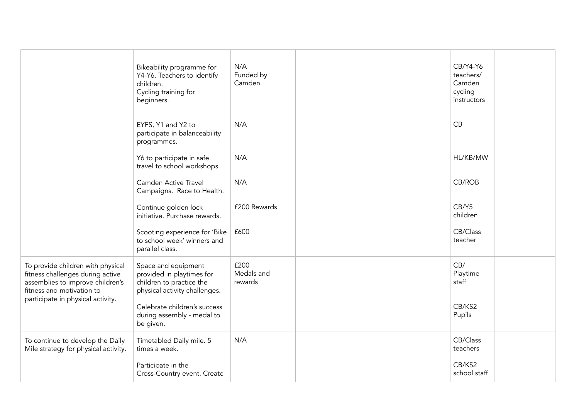|                                                                                                                                                                             | Bikeability programme for<br>Y4-Y6. Teachers to identify<br>children.<br>Cycling training for<br>beginners.   | N/A<br>Funded by<br>Camden    | CB/Y4-Y6<br>teachers/<br>Camden<br>cycling<br>instructors |  |
|-----------------------------------------------------------------------------------------------------------------------------------------------------------------------------|---------------------------------------------------------------------------------------------------------------|-------------------------------|-----------------------------------------------------------|--|
|                                                                                                                                                                             | EYFS, Y1 and Y2 to<br>participate in balanceability<br>programmes.                                            | N/A                           | CB                                                        |  |
|                                                                                                                                                                             | Y6 to participate in safe<br>travel to school workshops.                                                      | N/A                           | HL/KB/MW                                                  |  |
|                                                                                                                                                                             | Camden Active Travel<br>Campaigns. Race to Health.                                                            | N/A                           | CB/ROB                                                    |  |
|                                                                                                                                                                             | Continue golden lock<br>initiative. Purchase rewards.                                                         | £200 Rewards                  | CB/Y5<br>children                                         |  |
|                                                                                                                                                                             | Scooting experience for 'Bike<br>to school week' winners and<br>parallel class.                               | £600                          | CB/Class<br>teacher                                       |  |
| To provide children with physical<br>fitness challenges during active<br>assemblies to improve children's<br>fitness and motivation to<br>participate in physical activity. | Space and equipment<br>provided in playtimes for<br>children to practice the<br>physical activity challenges. | £200<br>Medals and<br>rewards | CB/<br>Playtime<br>staff                                  |  |
|                                                                                                                                                                             | Celebrate children's success<br>during assembly - medal to<br>be given.                                       |                               | CB/KS2<br>Pupils                                          |  |
| To continue to develop the Daily<br>Mile strategy for physical activity.                                                                                                    | Timetabled Daily mile. 5<br>times a week.                                                                     | N/A                           | CB/Class<br>teachers                                      |  |
|                                                                                                                                                                             | Participate in the<br>Cross-Country event. Create                                                             |                               | CB/KS2<br>school staff                                    |  |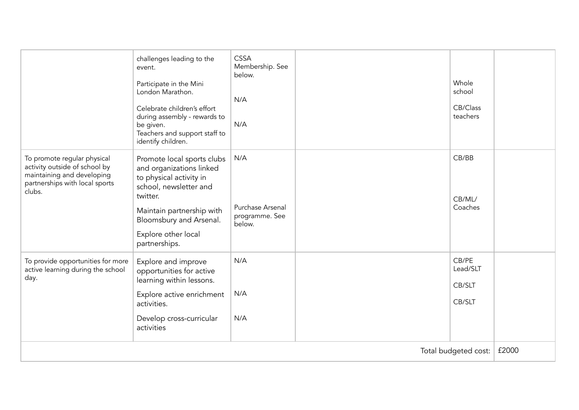|                                                                                                                                        | challenges leading to the<br>event.<br>Participate in the Mini<br>London Marathon.<br>Celebrate children's effort<br>during assembly - rewards to<br>be given.<br>Teachers and support staff to<br>identify children.   | <b>CSSA</b><br>Membership. See<br>below.<br>N/A<br>N/A |  | Whole<br>school<br>CB/Class<br>teachers |  |
|----------------------------------------------------------------------------------------------------------------------------------------|-------------------------------------------------------------------------------------------------------------------------------------------------------------------------------------------------------------------------|--------------------------------------------------------|--|-----------------------------------------|--|
| To promote regular physical<br>activity outside of school by<br>maintaining and developing<br>partnerships with local sports<br>clubs. | Promote local sports clubs<br>and organizations linked<br>to physical activity in<br>school, newsletter and<br>twitter.<br>Maintain partnership with<br>Bloomsbury and Arsenal.<br>Explore other local<br>partnerships. | N/A<br>Purchase Arsenal<br>programme. See<br>below.    |  | CB/BB<br>CB/ML/<br>Coaches              |  |
| To provide opportunities for more<br>active learning during the school<br>day.                                                         | Explore and improve<br>opportunities for active<br>learning within lessons.<br>Explore active enrichment<br>activities.<br>Develop cross-curricular<br>activities                                                       | N/A<br>N/A<br>N/A                                      |  | CB/PE<br>Lead/SLT<br>CB/SLT<br>CB/SLT   |  |
| Total budgeted cost:                                                                                                                   |                                                                                                                                                                                                                         |                                                        |  | £2000                                   |  |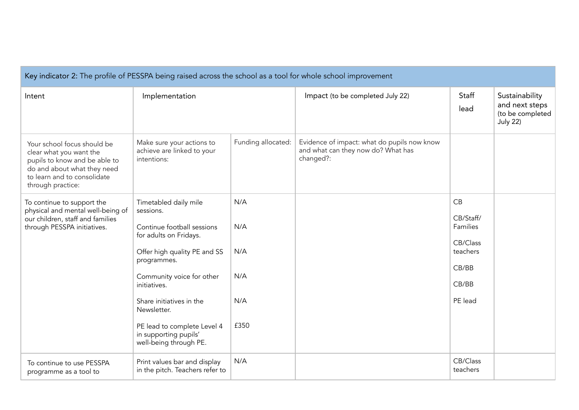| Key indicator 2: The profile of PESSPA being raised across the school as a tool for whole school improvement                                                               |                                                                                                                                                                                                                                                                                                                     |                                         |                                                                                                |                                                                                  |                                                                         |
|----------------------------------------------------------------------------------------------------------------------------------------------------------------------------|---------------------------------------------------------------------------------------------------------------------------------------------------------------------------------------------------------------------------------------------------------------------------------------------------------------------|-----------------------------------------|------------------------------------------------------------------------------------------------|----------------------------------------------------------------------------------|-------------------------------------------------------------------------|
| Intent                                                                                                                                                                     | Implementation                                                                                                                                                                                                                                                                                                      |                                         | Impact (to be completed July 22)                                                               | Staff<br>lead                                                                    | Sustainability<br>and next steps<br>(to be completed<br><b>July 22)</b> |
| Your school focus should be<br>clear what you want the<br>pupils to know and be able to<br>do and about what they need<br>to learn and to consolidate<br>through practice: | Make sure your actions to<br>achieve are linked to your<br>intentions:                                                                                                                                                                                                                                              | Funding allocated:                      | Evidence of impact: what do pupils now know<br>and what can they now do? What has<br>changed?: |                                                                                  |                                                                         |
| To continue to support the<br>physical and mental well-being of<br>our children, staff and families<br>through PESSPA initiatives.                                         | Timetabled daily mile<br>sessions.<br>Continue football sessions<br>for adults on Fridays.<br>Offer high quality PE and SS<br>programmes.<br>Community voice for other<br>initiatives.<br>Share initiatives in the<br>Newsletter.<br>PE lead to complete Level 4<br>in supporting pupils'<br>well-being through PE. | N/A<br>N/A<br>N/A<br>N/A<br>N/A<br>£350 |                                                                                                | CB<br>CB/Staff/<br>Families<br>CB/Class<br>teachers<br>CB/BB<br>CB/BB<br>PE lead |                                                                         |
| To continue to use PESSPA<br>programme as a tool to                                                                                                                        | Print values bar and display<br>in the pitch. Teachers refer to                                                                                                                                                                                                                                                     | N/A                                     |                                                                                                | CB/Class<br>teachers                                                             |                                                                         |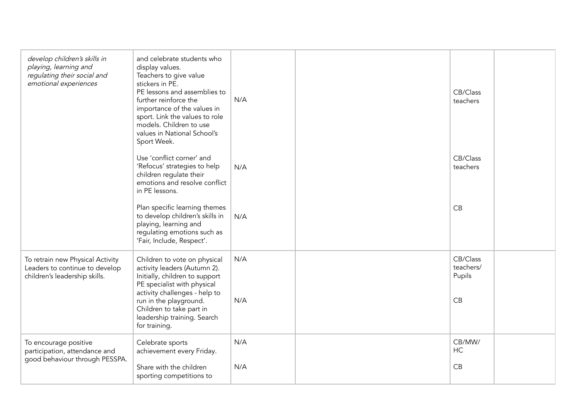| develop children's skills in<br>playing, learning and<br>regulating their social and<br>emotional experiences | and celebrate students who<br>display values.<br>Teachers to give value<br>stickers in PE.<br>PE lessons and assemblies to<br>further reinforce the<br>importance of the values in<br>sport. Link the values to role<br>models. Children to use<br>values in National School's<br>Sport Week. | N/A        | CB/Class<br>teachers                  |  |
|---------------------------------------------------------------------------------------------------------------|-----------------------------------------------------------------------------------------------------------------------------------------------------------------------------------------------------------------------------------------------------------------------------------------------|------------|---------------------------------------|--|
|                                                                                                               | Use 'conflict corner' and<br>'Refocus' strategies to help<br>children regulate their<br>emotions and resolve conflict<br>in PE lessons.                                                                                                                                                       | N/A        | CB/Class<br>teachers                  |  |
|                                                                                                               | Plan specific learning themes<br>to develop children's skills in<br>playing, learning and<br>regulating emotions such as<br>'Fair, Include, Respect'.                                                                                                                                         | N/A        | CB                                    |  |
| To retrain new Physical Activity<br>Leaders to continue to develop<br>children's leadership skills.           | Children to vote on physical<br>activity leaders (Autumn 2).<br>Initially, children to support<br>PE specialist with physical<br>activity challenges - help to<br>run in the playground.<br>Children to take part in<br>leadership training. Search<br>for training.                          | N/A<br>N/A | CB/Class<br>teachers/<br>Pupils<br>CB |  |
| To encourage positive<br>participation, attendance and<br>good behaviour through PESSPA.                      | Celebrate sports<br>achievement every Friday.<br>Share with the children<br>sporting competitions to                                                                                                                                                                                          | N/A<br>N/A | CB/MW/<br>HC<br>CB                    |  |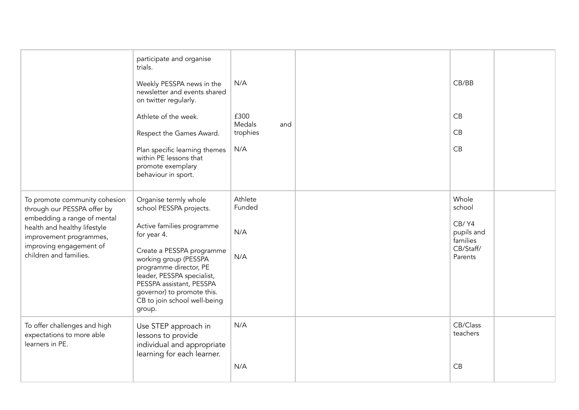|                                                                                                                                                                                                             | participate and organise<br>trials.<br>Weekly PESSPA news in the<br>newsletter and events shared<br>on twitter regularly.<br>Athlete of the week.<br>Respect the Games Award.<br>Plan specific learning themes<br>within PE lessons that<br>promote exemplary<br>behaviour in sport.                           | N/A<br>£300<br>Medals<br>and<br>trophies<br>N/A | CB/BB<br>CB<br>CB<br>CB                                                    |
|-------------------------------------------------------------------------------------------------------------------------------------------------------------------------------------------------------------|----------------------------------------------------------------------------------------------------------------------------------------------------------------------------------------------------------------------------------------------------------------------------------------------------------------|-------------------------------------------------|----------------------------------------------------------------------------|
| To promote community cohesion<br>through our PESSPA offer by<br>embedding a range of mental<br>health and healthy lifestyle<br>improvement programmes,<br>improving engagement of<br>children and families. | Organise termly whole<br>school PESSPA projects.<br>Active families programme<br>for year 4.<br>Create a PESSPA programme<br>working group (PESSPA<br>programme director, PE<br>leader, PESSPA specialist,<br>PESSPA assistant, PESSPA<br>governor) to promote this.<br>CB to join school well-being<br>group. | Athlete<br>Funded<br>N/A<br>N/A                 | Whole<br>school<br>CB/Y4<br>pupils and<br>families<br>CB/Staff/<br>Parents |
| To offer challenges and high<br>expectations to more able<br>learners in PE.                                                                                                                                | Use STEP approach in<br>lessons to provide<br>individual and appropriate<br>learning for each learner.                                                                                                                                                                                                         | N/A<br>N/A                                      | CB/Class<br>teachers<br>CB                                                 |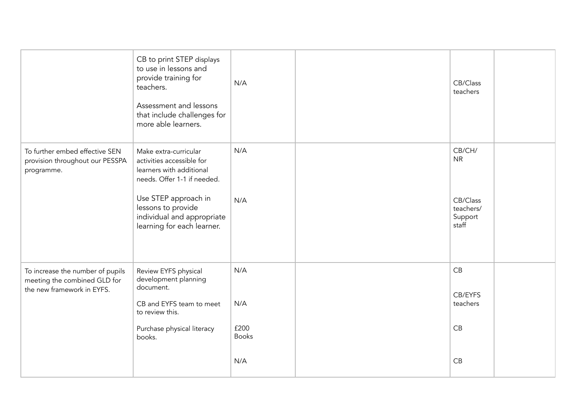|                                                                                                | CB to print STEP displays<br>to use in lessons and<br>provide training for<br>teachers.<br>Assessment and lessons<br>that include challenges for<br>more able learners.                                                 | N/A                                       | CB/Class<br>teachers                                             |  |
|------------------------------------------------------------------------------------------------|-------------------------------------------------------------------------------------------------------------------------------------------------------------------------------------------------------------------------|-------------------------------------------|------------------------------------------------------------------|--|
| To further embed effective SEN<br>provision throughout our PESSPA<br>programme.                | Make extra-curricular<br>activities accessible for<br>learners with additional<br>needs. Offer 1-1 if needed.<br>Use STEP approach in<br>lessons to provide<br>individual and appropriate<br>learning for each learner. | N/A<br>N/A                                | CB/CH/<br><b>NR</b><br>CB/Class<br>teachers/<br>Support<br>staff |  |
| To increase the number of pupils<br>meeting the combined GLD for<br>the new framework in EYFS. | Review EYFS physical<br>development planning<br>document.<br>CB and EYFS team to meet<br>to review this.<br>Purchase physical literacy<br>books.                                                                        | N/A<br>N/A<br>£200<br><b>Books</b><br>N/A | CB<br>CB/EYFS<br>teachers<br>CB<br>CB                            |  |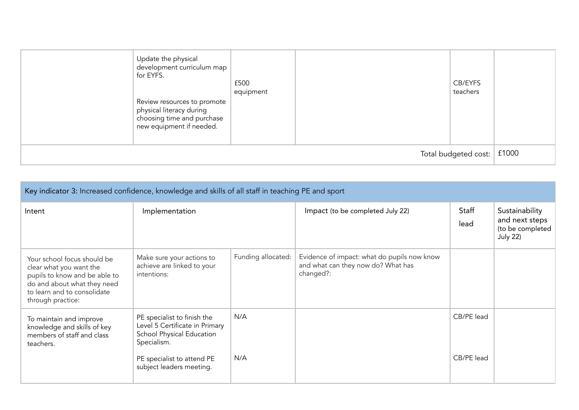| Update the physical<br>development curriculum map<br>for EYFS.<br>Review resources to promote<br>physical literacy during<br>choosing time and purchase<br>new equipment if needed. | £500<br>equipment |  | CB/EYFS<br>teachers |  |
|-------------------------------------------------------------------------------------------------------------------------------------------------------------------------------------|-------------------|--|---------------------|--|
| Total budgeted cost:                                                                                                                                                                |                   |  |                     |  |

| Key indicator 3: Increased confidence, knowledge and skills of all staff in teaching PE and sport                                                                          |                                                                                                           |                    |                                                                                                |               |                                                                         |  |  |
|----------------------------------------------------------------------------------------------------------------------------------------------------------------------------|-----------------------------------------------------------------------------------------------------------|--------------------|------------------------------------------------------------------------------------------------|---------------|-------------------------------------------------------------------------|--|--|
| Intent                                                                                                                                                                     | Implementation                                                                                            |                    | Impact (to be completed July 22)                                                               | Staff<br>lead | Sustainability<br>and next steps<br>(to be completed<br><b>July 22)</b> |  |  |
| Your school focus should be<br>clear what you want the<br>pupils to know and be able to<br>do and about what they need<br>to learn and to consolidate<br>through practice: | Make sure your actions to<br>achieve are linked to your<br>intentions:                                    | Funding allocated: | Evidence of impact: what do pupils now know<br>and what can they now do? What has<br>changed?: |               |                                                                         |  |  |
| To maintain and improve<br>knowledge and skills of key<br>members of staff and class<br>teachers.                                                                          | PE specialist to finish the<br>Level 5 Certificate in Primary<br>School Physical Education<br>Specialism. | N/A                |                                                                                                | CB/PE lead    |                                                                         |  |  |
|                                                                                                                                                                            | PE specialist to attend PE<br>subject leaders meeting.                                                    | N/A                |                                                                                                | CB/PE lead    |                                                                         |  |  |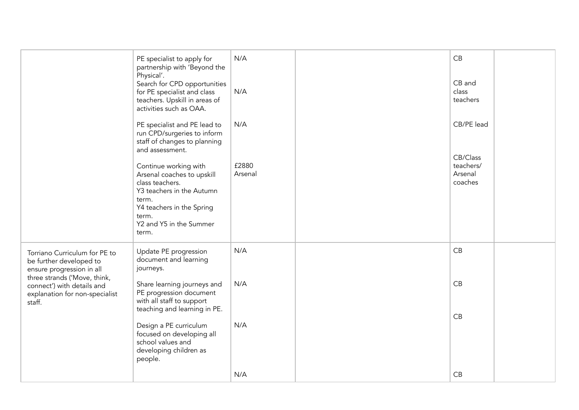|                                                                                                                                                                                                 | PE specialist to apply for<br>partnership with 'Beyond the<br>Physical'.<br>Search for CPD opportunities<br>for PE specialist and class<br>teachers. Upskill in areas of<br>activities such as OAA. | N/A<br>N/A       | CB<br>CB and<br>class<br>teachers |  |
|-------------------------------------------------------------------------------------------------------------------------------------------------------------------------------------------------|-----------------------------------------------------------------------------------------------------------------------------------------------------------------------------------------------------|------------------|-----------------------------------|--|
|                                                                                                                                                                                                 | PE specialist and PE lead to<br>run CPD/surgeries to inform<br>staff of changes to planning<br>and assessment.                                                                                      | N/A              | CB/PE lead<br>CB/Class            |  |
|                                                                                                                                                                                                 | Continue working with<br>Arsenal coaches to upskill<br>class teachers.<br>Y3 teachers in the Autumn<br>term.<br>Y4 teachers in the Spring<br>term.<br>Y2 and Y5 in the Summer<br>term.              | £2880<br>Arsenal | teachers/<br>Arsenal<br>coaches   |  |
| Torriano Curriculum for PE to<br>be further developed to<br>ensure progression in all<br>three strands ('Move, think,<br>connect') with details and<br>explanation for non-specialist<br>staff. | Update PE progression<br>document and learning<br>journeys.                                                                                                                                         | N/A              | CB                                |  |
|                                                                                                                                                                                                 | Share learning journeys and<br>PE progression document<br>with all staff to support<br>teaching and learning in PE.                                                                                 | N/A              | CB<br>CB                          |  |
|                                                                                                                                                                                                 | Design a PE curriculum<br>focused on developing all<br>school values and<br>developing children as<br>people.                                                                                       | N/A              |                                   |  |
|                                                                                                                                                                                                 |                                                                                                                                                                                                     | N/A              | CB                                |  |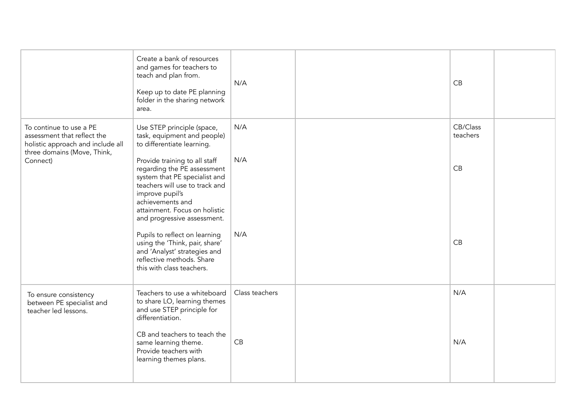|                                                                                                                            | Create a bank of resources<br>and games for teachers to<br>teach and plan from.<br>Keep up to date PE planning<br>folder in the sharing network<br>area.                                                                               | N/A            | CB                   |  |
|----------------------------------------------------------------------------------------------------------------------------|----------------------------------------------------------------------------------------------------------------------------------------------------------------------------------------------------------------------------------------|----------------|----------------------|--|
| To continue to use a PE<br>assessment that reflect the<br>holistic approach and include all<br>three domains (Move, Think, | Use STEP principle (space,<br>task, equipment and people)<br>to differentiate learning.                                                                                                                                                | N/A            | CB/Class<br>teachers |  |
| Connect)                                                                                                                   | Provide training to all staff<br>regarding the PE assessment<br>system that PE specialist and<br>teachers will use to track and<br>improve pupil's<br>achievements and<br>attainment. Focus on holistic<br>and progressive assessment. | N/A            | CB                   |  |
|                                                                                                                            | Pupils to reflect on learning<br>using the 'Think, pair, share'<br>and 'Analyst' strategies and<br>reflective methods. Share<br>this with class teachers.                                                                              | N/A            | CB                   |  |
| To ensure consistency<br>between PE specialist and<br>teacher led lessons.                                                 | Teachers to use a whiteboard<br>to share LO, learning themes<br>and use STEP principle for<br>differentiation.                                                                                                                         | Class teachers | N/A                  |  |
|                                                                                                                            | CB and teachers to teach the<br>same learning theme.<br>Provide teachers with<br>learning themes plans.                                                                                                                                | CB             | N/A                  |  |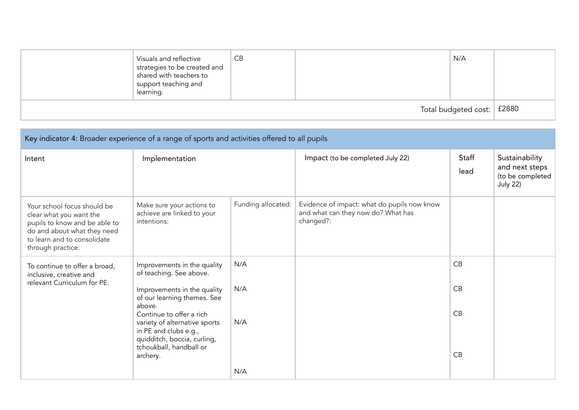|                              | Visuals and reflective<br>strategies to be created and<br>shared with teachers to<br>support teaching and<br>learning. | CB |  | N/A |  |
|------------------------------|------------------------------------------------------------------------------------------------------------------------|----|--|-----|--|
| Total budgeted cost:   £2880 |                                                                                                                        |    |  |     |  |

| Key indicator 4: Broader experience of a range of sports and activities offered to all pupils                                                                              |                                                                                                                                                                    |                    |                                                                                                |               |                                                                         |  |
|----------------------------------------------------------------------------------------------------------------------------------------------------------------------------|--------------------------------------------------------------------------------------------------------------------------------------------------------------------|--------------------|------------------------------------------------------------------------------------------------|---------------|-------------------------------------------------------------------------|--|
| Intent                                                                                                                                                                     | Implementation                                                                                                                                                     |                    | Impact (to be completed July 22)                                                               | Staff<br>lead | Sustainability<br>and next steps<br>(to be completed<br><b>July 22)</b> |  |
| Your school focus should be<br>clear what you want the<br>pupils to know and be able to<br>do and about what they need<br>to learn and to consolidate<br>through practice: | Make sure your actions to<br>achieve are linked to your<br>intentions:                                                                                             | Funding allocated: | Evidence of impact: what do pupils now know<br>and what can they now do? What has<br>changed?: |               |                                                                         |  |
| To continue to offer a broad,<br>inclusive, creative and<br>relevant Curriculum for PE.                                                                                    | Improvements in the quality<br>of teaching. See above.<br>Improvements in the quality<br>of our learning themes. See                                               | N/A<br>N/A         |                                                                                                | CB<br>CB      |                                                                         |  |
|                                                                                                                                                                            | above.<br>Continue to offer a rich<br>variety of alternative sports<br>in PE and clubs e.g.,<br>quidditch, boccia, curling,<br>tchoukball, handball or<br>archery. | N/A                |                                                                                                | CB<br>CB      |                                                                         |  |
|                                                                                                                                                                            |                                                                                                                                                                    | N/A                |                                                                                                |               |                                                                         |  |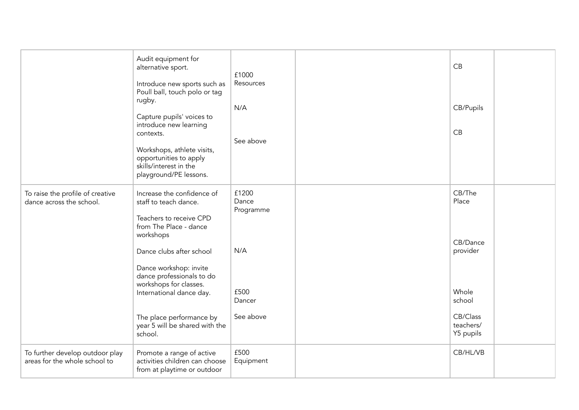|                                                                  | Audit equipment for<br>alternative sport.<br>Introduce new sports such as<br>Poull ball, touch polo or tag<br>rugby.                                                         | £1000<br>Resources<br>N/A   | CB<br>CB/Pupils                    |  |
|------------------------------------------------------------------|------------------------------------------------------------------------------------------------------------------------------------------------------------------------------|-----------------------------|------------------------------------|--|
|                                                                  | Capture pupils' voices to<br>introduce new learning<br>contexts.<br>Workshops, athlete visits,<br>opportunities to apply<br>skills/interest in the<br>playground/PE lessons. | See above                   | CB                                 |  |
| To raise the profile of creative<br>dance across the school.     | Increase the confidence of<br>staff to teach dance.<br>Teachers to receive CPD<br>from The Place - dance<br>workshops                                                        | £1200<br>Dance<br>Programme | CB/The<br>Place<br>CB/Dance        |  |
|                                                                  | Dance clubs after school<br>Dance workshop: invite<br>dance professionals to do<br>workshops for classes.<br>International dance day.                                        | N/A<br>£500<br>Dancer       | provider<br>Whole<br>school        |  |
|                                                                  | The place performance by<br>year 5 will be shared with the<br>school.                                                                                                        | See above                   | CB/Class<br>teachers/<br>Y5 pupils |  |
| To further develop outdoor play<br>areas for the whole school to | Promote a range of active<br>activities children can choose<br>from at playtime or outdoor                                                                                   | £500<br>Equipment           | CB/HL/VB                           |  |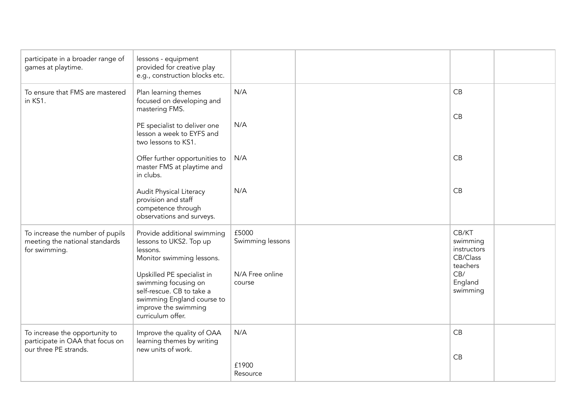| participate in a broader range of<br>games at playtime.                                     | lessons - equipment<br>provided for creative play<br>e.g., construction blocks etc.                                                                        |                           |                                                          |  |
|---------------------------------------------------------------------------------------------|------------------------------------------------------------------------------------------------------------------------------------------------------------|---------------------------|----------------------------------------------------------|--|
| To ensure that FMS are mastered<br>in KS1.                                                  | Plan learning themes<br>focused on developing and<br>mastering FMS.                                                                                        | N/A                       | CB                                                       |  |
|                                                                                             | PE specialist to deliver one<br>lesson a week to EYFS and<br>two lessons to KS1.                                                                           | N/A                       | CB                                                       |  |
|                                                                                             | Offer further opportunities to<br>master FMS at playtime and<br>in clubs.                                                                                  | N/A                       | CB                                                       |  |
|                                                                                             | Audit Physical Literacy<br>provision and staff<br>competence through<br>observations and surveys.                                                          | N/A                       | CB                                                       |  |
| To increase the number of pupils<br>meeting the national standards<br>for swimming.         | Provide additional swimming<br>lessons to UKS2. Top up<br>lessons.<br>Monitor swimming lessons.                                                            | £5000<br>Swimming lessons | CB/KT<br>swimming<br>instructors<br>CB/Class<br>teachers |  |
|                                                                                             | Upskilled PE specialist in<br>swimming focusing on<br>self-rescue. CB to take a<br>swimming England course to<br>improve the swimming<br>curriculum offer. | N/A Free online<br>course | CB/<br>England<br>swimming                               |  |
| To increase the opportunity to<br>participate in OAA that focus on<br>our three PE strands. | Improve the quality of OAA<br>learning themes by writing<br>new units of work.                                                                             | N/A<br>£1900<br>Resource  | CB<br>CB                                                 |  |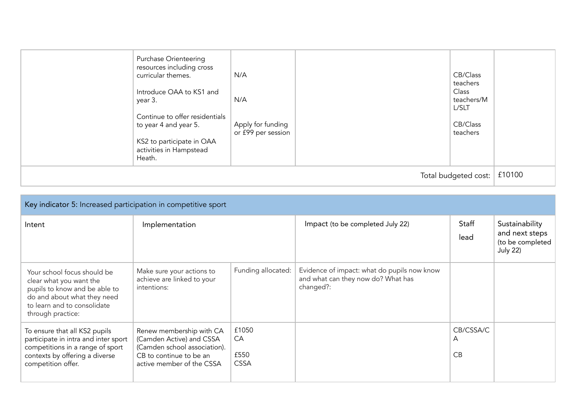| <b>Purchase Orienteering</b><br>resources including cross<br>curricular themes.<br>Introduce OAA to KS1 and<br>year 3.<br>Continue to offer residentials<br>to year 4 and year 5.<br>KS2 to participate in OAA<br>activities in Hampstead<br>Heath. | N/A<br>N/A<br>Apply for funding<br>or £99 per session |  | CB/Class<br>teachers<br>Class<br>teachers/M<br>L/SLT<br>CB/Class<br>teachers |  |
|-----------------------------------------------------------------------------------------------------------------------------------------------------------------------------------------------------------------------------------------------------|-------------------------------------------------------|--|------------------------------------------------------------------------------|--|
| Total budgeted cost:                                                                                                                                                                                                                                |                                                       |  |                                                                              |  |

| Key indicator 5: Increased participation in competitive sport                                                                                                              |                                                                                                                                              |                                    |                                                                                                |                      |                                                                         |  |  |
|----------------------------------------------------------------------------------------------------------------------------------------------------------------------------|----------------------------------------------------------------------------------------------------------------------------------------------|------------------------------------|------------------------------------------------------------------------------------------------|----------------------|-------------------------------------------------------------------------|--|--|
| Intent                                                                                                                                                                     | Implementation                                                                                                                               |                                    | Impact (to be completed July 22)                                                               | Staff<br>lead        | Sustainability<br>and next steps<br>(to be completed<br><b>July 22)</b> |  |  |
| Your school focus should be<br>clear what you want the<br>pupils to know and be able to<br>do and about what they need<br>to learn and to consolidate<br>through practice: | Make sure your actions to<br>achieve are linked to your<br>intentions:                                                                       | Funding allocated:                 | Evidence of impact: what do pupils now know<br>and what can they now do? What has<br>changed?: |                      |                                                                         |  |  |
| To ensure that all KS2 pupils<br>participate in intra and inter sport<br>competitions in a range of sport<br>contexts by offering a diverse<br>competition offer.          | Renew membership with CA<br>(Camden Active) and CSSA<br>(Camden school association).<br>CB to continue to be an<br>active member of the CSSA | £1050<br>CA<br>£550<br><b>CSSA</b> |                                                                                                | CB/CSSA/C<br>A<br>CB |                                                                         |  |  |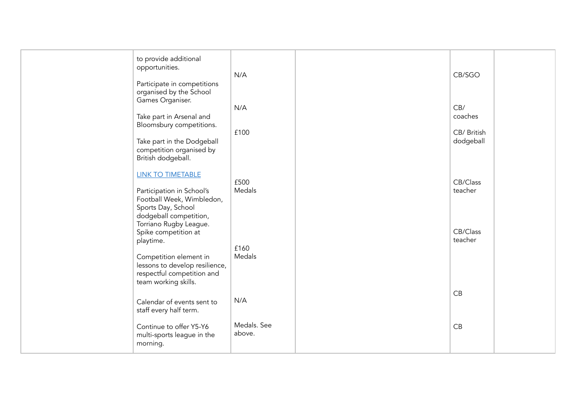| to provide additional<br>opportunities.<br>Participate in competitions<br>organised by the School<br>Games Organiser.<br>Take part in Arsenal and<br>Bloomsbury competitions.<br>Take part in the Dodgeball<br>competition organised by<br>British dodgeball. | N/A<br>N/A<br>£100           | CB/SGO<br>CB/<br>coaches<br>CB/ British<br>dodgeball |  |
|---------------------------------------------------------------------------------------------------------------------------------------------------------------------------------------------------------------------------------------------------------------|------------------------------|------------------------------------------------------|--|
| <b>LINK TO TIMETABLE</b><br>Participation in School's<br>Football Week, Wimbledon,<br>Sports Day, School<br>dodgeball competition,<br>Torriano Rugby League.<br>Spike competition at<br>playtime.                                                             | £500<br>Medals               | CB/Class<br>teacher<br>CB/Class<br>teacher           |  |
| Competition element in<br>lessons to develop resilience,<br>respectful competition and<br>team working skills.                                                                                                                                                | £160<br>Medals               | CB                                                   |  |
| Calendar of events sent to<br>staff every half term.<br>Continue to offer Y5-Y6<br>multi-sports league in the                                                                                                                                                 | N/A<br>Medals. See<br>above. | CB                                                   |  |
| morning.                                                                                                                                                                                                                                                      |                              |                                                      |  |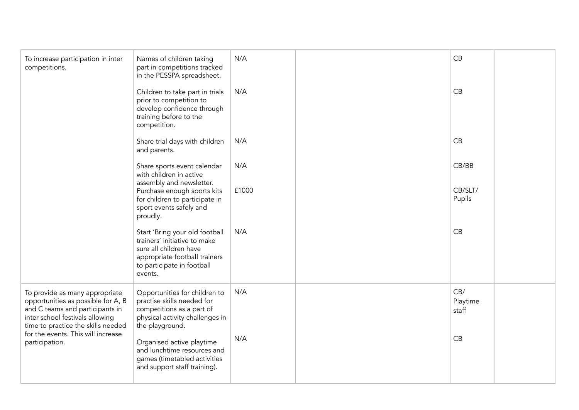| To increase participation in inter<br>competitions.                                                                                                                                                                                      | Names of children taking<br>part in competitions tracked<br>in the PESSPA spreadsheet.                                                                             | N/A   | CB                       |  |
|------------------------------------------------------------------------------------------------------------------------------------------------------------------------------------------------------------------------------------------|--------------------------------------------------------------------------------------------------------------------------------------------------------------------|-------|--------------------------|--|
|                                                                                                                                                                                                                                          | Children to take part in trials<br>prior to competition to<br>develop confidence through<br>training before to the<br>competition.                                 | N/A   | CB                       |  |
|                                                                                                                                                                                                                                          | Share trial days with children<br>and parents.                                                                                                                     | N/A   | CB                       |  |
|                                                                                                                                                                                                                                          | Share sports event calendar<br>with children in active<br>assembly and newsletter.                                                                                 | N/A   | CB/BB                    |  |
|                                                                                                                                                                                                                                          | Purchase enough sports kits<br>for children to participate in<br>sport events safely and<br>proudly.                                                               | £1000 | CB/SLT/<br>Pupils        |  |
|                                                                                                                                                                                                                                          | Start 'Bring your old football<br>trainers' initiative to make<br>sure all children have<br>appropriate football trainers<br>to participate in football<br>events. | N/A   | CB                       |  |
| To provide as many appropriate<br>opportunities as possible for A, B<br>and C teams and participants in<br>inter school festivals allowing<br>time to practice the skills needed<br>for the events. This will increase<br>participation. | Opportunities for children to<br>practise skills needed for<br>competitions as a part of<br>physical activity challenges in<br>the playground.                     | N/A   | CB/<br>Playtime<br>staff |  |
|                                                                                                                                                                                                                                          | Organised active playtime<br>and lunchtime resources and<br>games (timetabled activities<br>and support staff training).                                           | N/A   | CB                       |  |